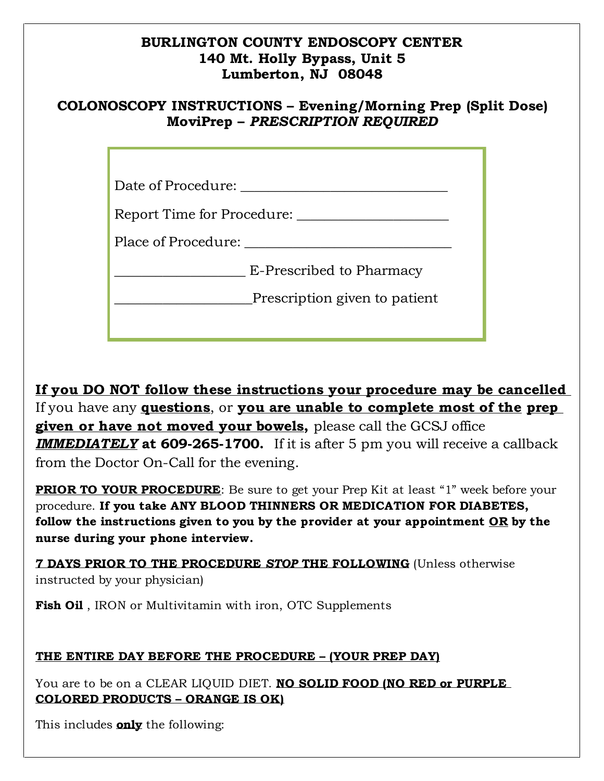### **BURLINGTON COUNTY ENDOSCOPY CENTER 140 Mt. Holly Bypass, Unit 5 Lumberton, NJ 08048**

## **COLONOSCOPY INSTRUCTIONS – Evening/Morning Prep (Split Dose) MoviPrep –** *PRESCRIPTION REQUIRED*

| Date of Procedure: |  |
|--------------------|--|
|                    |  |

| <b>Report Time for Procedure:</b> |  |
|-----------------------------------|--|
|                                   |  |

Place of Procedure:

| E-Prescribed to Pharmacy |  |
|--------------------------|--|
|                          |  |

Prescription given to patient

**If you DO NOT follow these instructions your procedure may be cancelled**  If you have any **questions**, or **you are unable to complete most of the prep given or have not moved your bowels,** please call the GCSJ office *IMMEDIATELY* **at 609-265-1700.** If it is after 5 pm you will receive a callback from the Doctor On-Call for the evening.

**PRIOR TO YOUR PROCEDURE**: Be sure to get your Prep Kit at least "1" week before your procedure. **If you take ANY BLOOD THINNERS OR MEDICATION FOR DIABETES, follow the instructions given to you by the provider at your appointment OR by the nurse during your phone interview.**

**7 DAYS PRIOR TO THE PROCEDURE** *STOP* **THE FOLLOWING** (Unless otherwise instructed by your physician)

Fish Oil, IRON or Multivitamin with iron, OTC Supplements

## **THE ENTIRE DAY BEFORE THE PROCEDURE – (YOUR PREP DAY)**

You are to be on a CLEAR LIQUID DIET. **NO SOLID FOOD (NO RED or PURPLE COLORED PRODUCTS – ORANGE IS OK)**

This includes **only** the following: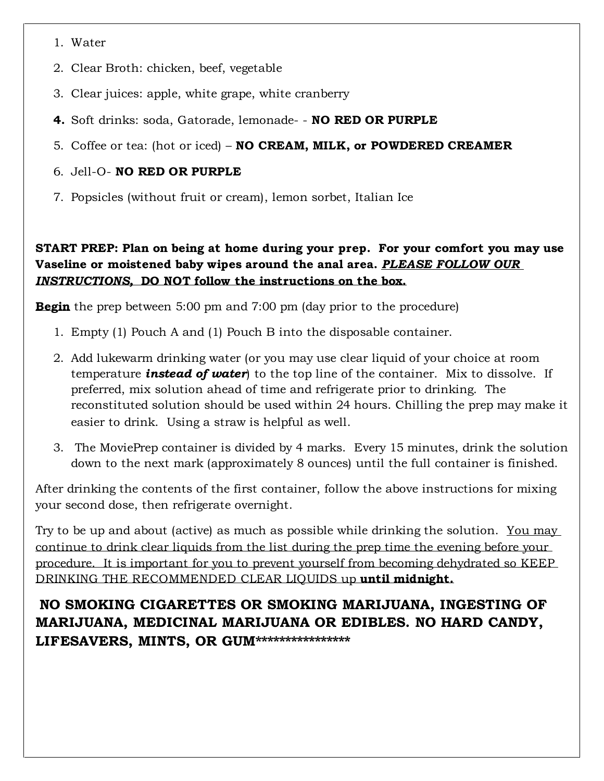- 1. Water
- 2. Clear Broth: chicken, beef, vegetable
- 3. Clear juices: apple, white grape, white cranberry
- **4.** Soft drinks: soda, Gatorade, lemonade- **NO RED OR PURPLE**
- 5. Coffee or tea: (hot or iced) **NO CREAM, MILK, or POWDERED CREAMER**

#### 6. Jell-O- **NO RED OR PURPLE**

7. Popsicles (without fruit or cream), lemon sorbet, Italian Ice

#### **START PREP: Plan on being at home during your prep. For your comfort you may use Vaseline or moistened baby wipes around the anal area.** *PLEASE FOLLOW OUR INSTRUCTIONS,* **DO NOT follow the instructions on the box.**

**Begin** the prep between 5:00 pm and 7:00 pm (day prior to the procedure)

- 1. Empty (1) Pouch A and (1) Pouch B into the disposable container.
- 2. Add lukewarm drinking water (or you may use clear liquid of your choice at room temperature *instead of water*) to the top line of the container. Mix to dissolve. If preferred, mix solution ahead of time and refrigerate prior to drinking. The reconstituted solution should be used within 24 hours. Chilling the prep may make it easier to drink. Using a straw is helpful as well.
- 3. The MoviePrep container is divided by 4 marks. Every 15 minutes, drink the solution down to the next mark (approximately 8 ounces) until the full container is finished.

After drinking the contents of the first container, follow the above instructions for mixing your second dose, then refrigerate overnight.

Try to be up and about (active) as much as possible while drinking the solution. You may continue to drink clear liquids from the list during the prep time the evening before your procedure. It is important for you to prevent yourself from becoming dehydrated so KEEP DRINKING THE RECOMMENDED CLEAR LIQUIDS up **until midnight.**

**NO SMOKING CIGARETTES OR SMOKING MARIJUANA, INGESTING OF MARIJUANA, MEDICINAL MARIJUANA OR EDIBLES. NO HARD CANDY, LIFESAVERS, MINTS, OR GUM\*\*\*\*\*\*\*\*\*\*\*\*\*\*\*\***